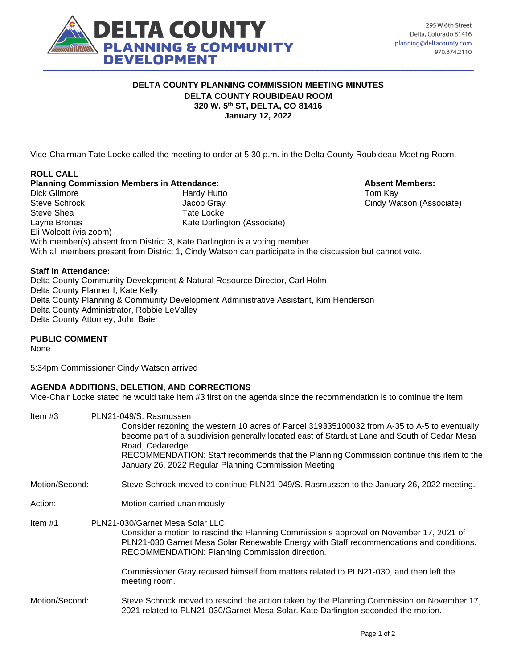

#### **DELTA COUNTY PLANNING COMMISSION MEETING MINUTES DELTA COUNTY ROUBIDEAU ROOM 320 W. 5th ST, DELTA, CO 81416 January 12, 2022**

Vice-Chairman Tate Locke called the meeting to order at 5:30 p.m. in the Delta County Roubideau Meeting Room.

#### **ROLL CALL Planning Commission Members in Attendance: Absent Members: Absent Members:** Dick Gilmore **Hardy Hutto** Hardy Hutto **Tom Kay** Steve Schrock Jacob Gray Cindy Watson (Associate) Steve Shea Tate Locke Layne Brones **Kate Darlington (Associate)** Eli Wolcott (via zoom) With member(s) absent from District 3, Kate Darlington is a voting member. With all members present from District 1, Cindy Watson can participate in the discussion but cannot vote.

## **Staff in Attendance:**

Delta County Community Development & Natural Resource Director, Carl Holm Delta County Planner I, Kate Kelly Delta County Planning & Community Development Administrative Assistant, Kim Henderson Delta County Administrator, Robbie LeValley Delta County Attorney, John Baier

## **PUBLIC COMMENT**

None

5:34pm Commissioner Cindy Watson arrived

#### **AGENDA ADDITIONS, DELETION, AND CORRECTIONS**

Vice-Chair Locke stated he would take Item #3 first on the agenda since the recommendation is to continue the item.

| Item $#3$      | PLN21-049/S. Rasmussen<br>Consider rezoning the western 10 acres of Parcel 319335100032 from A-35 to A-5 to eventually<br>become part of a subdivision generally located east of Stardust Lane and South of Cedar Mesa<br>Road, Cedaredge.<br>RECOMMENDATION: Staff recommends that the Planning Commission continue this item to the<br>January 26, 2022 Regular Planning Commission Meeting. |
|----------------|------------------------------------------------------------------------------------------------------------------------------------------------------------------------------------------------------------------------------------------------------------------------------------------------------------------------------------------------------------------------------------------------|
| Motion/Second: | Steve Schrock moved to continue PLN21-049/S. Rasmussen to the January 26, 2022 meeting.                                                                                                                                                                                                                                                                                                        |
| Action:        | Motion carried unanimously                                                                                                                                                                                                                                                                                                                                                                     |
| Item $#1$      | PLN21-030/Garnet Mesa Solar LLC<br>Consider a motion to rescind the Planning Commission's approval on November 17, 2021 of<br>PLN21-030 Garnet Mesa Solar Renewable Energy with Staff recommendations and conditions.<br>RECOMMENDATION: Planning Commission direction.                                                                                                                        |
|                | Commissioner Gray recused himself from matters related to PLN21-030, and then left the<br>meeting room.                                                                                                                                                                                                                                                                                        |
| Motion/Second: | Steve Schrock moved to rescind the action taken by the Planning Commission on November 17,<br>2021 related to PLN21-030/Garnet Mesa Solar. Kate Darlington seconded the motion.                                                                                                                                                                                                                |